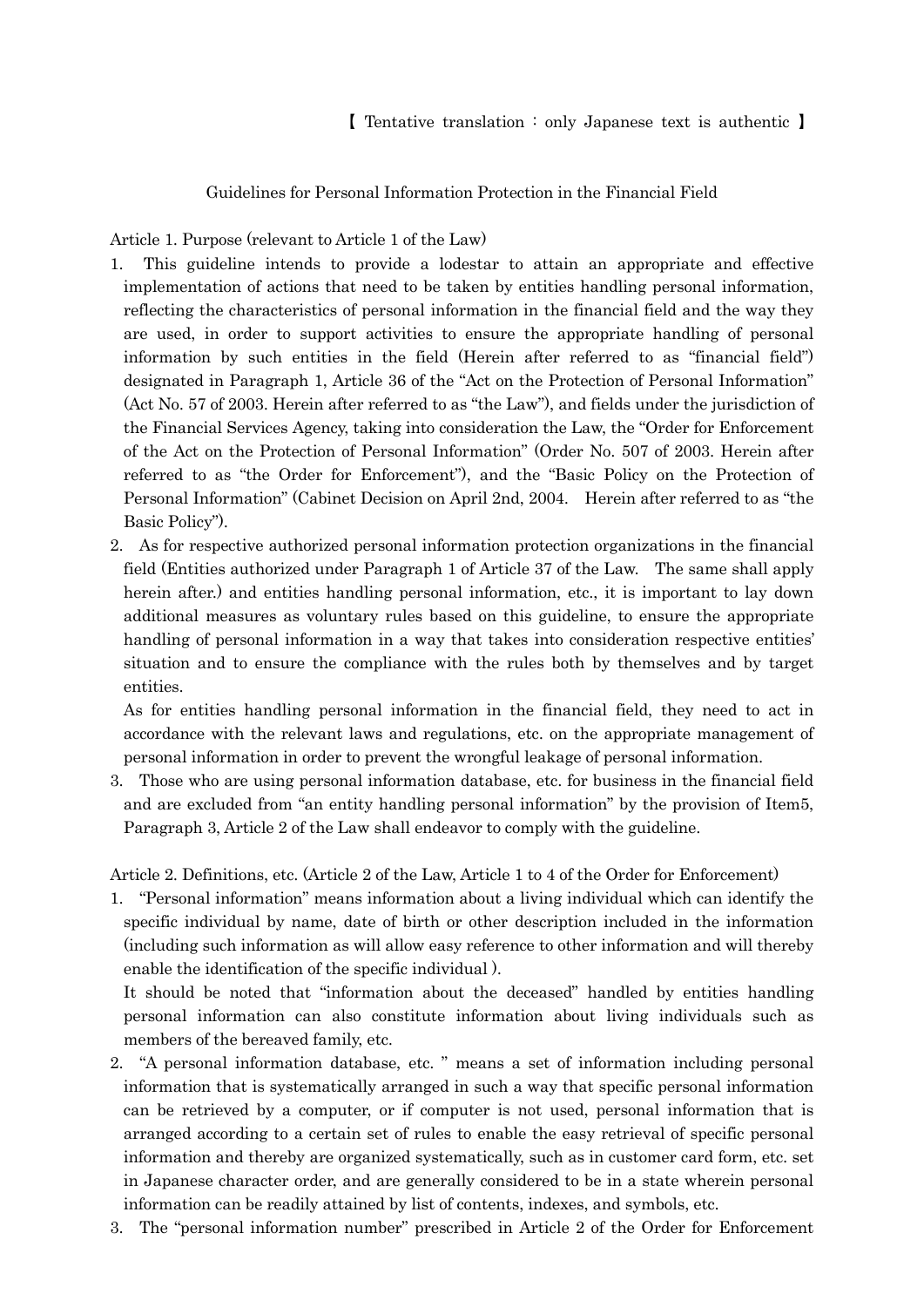Guidelines for Personal Information Protection in the Financial Field

Article 1. Purpose (relevant to Article 1 of the Law)

- 1. This guideline intends to provide a lodestar to attain an appropriate and effective implementation of actions that need to be taken by entities handling personal information, reflecting the characteristics of personal information in the financial field and the way they are used, in order to support activities to ensure the appropriate handling of personal information by such entities in the field (Herein after referred to as "financial field") designated in Paragraph 1, Article 36 of the "Act on the Protection of Personal Information" (Act No. 57 of 2003. Herein after referred to as "the Law"), and fields under the jurisdiction of the Financial Services Agency, taking into consideration the Law, the "Order for Enforcement of the Act on the Protection of Personal Information" (Order No. 507 of 2003. Herein after referred to as "the Order for Enforcement"), and the "Basic Policy on the Protection of Personal Information" (Cabinet Decision on April 2nd, 2004. Herein after referred to as "the Basic Policy").
- 2. As for respective authorized personal information protection organizations in the financial field (Entities authorized under Paragraph 1 of Article 37 of the Law. The same shall apply herein after.) and entities handling personal information, etc., it is important to lay down additional measures as voluntary rules based on this guideline, to ensure the appropriate handling of personal information in a way that takes into consideration respective entities' situation and to ensure the compliance with the rules both by themselves and by target entities.

As for entities handling personal information in the financial field, they need to act in accordance with the relevant laws and regulations, etc. on the appropriate management of personal information in order to prevent the wrongful leakage of personal information.

3. Those who are using personal information database, etc. for business in the financial field and are excluded from "an entity handling personal information" by the provision of Item5, Paragraph 3, Article 2 of the Law shall endeavor to comply with the guideline.

Article 2. Definitions, etc. (Article 2 of the Law, Article 1 to 4 of the Order for Enforcement)

1. "Personal information" means information about a living individual which can identify the specific individual by name, date of birth or other description included in the information (including such information as will allow easy reference to other information and will thereby enable the identification of the specific individual ).

It should be noted that "information about the deceased" handled by entities handling personal information can also constitute information about living individuals such as members of the bereaved family, etc.

- 2. "A personal information database, etc. " means a set of information including personal information that is systematically arranged in such a way that specific personal information can be retrieved by a computer, or if computer is not used, personal information that is arranged according to a certain set of rules to enable the easy retrieval of specific personal information and thereby are organized systematically, such as in customer card form, etc. set in Japanese character order, and are generally considered to be in a state wherein personal information can be readily attained by list of contents, indexes, and symbols, etc.
- 3. The "personal information number" prescribed in Article 2 of the Order for Enforcement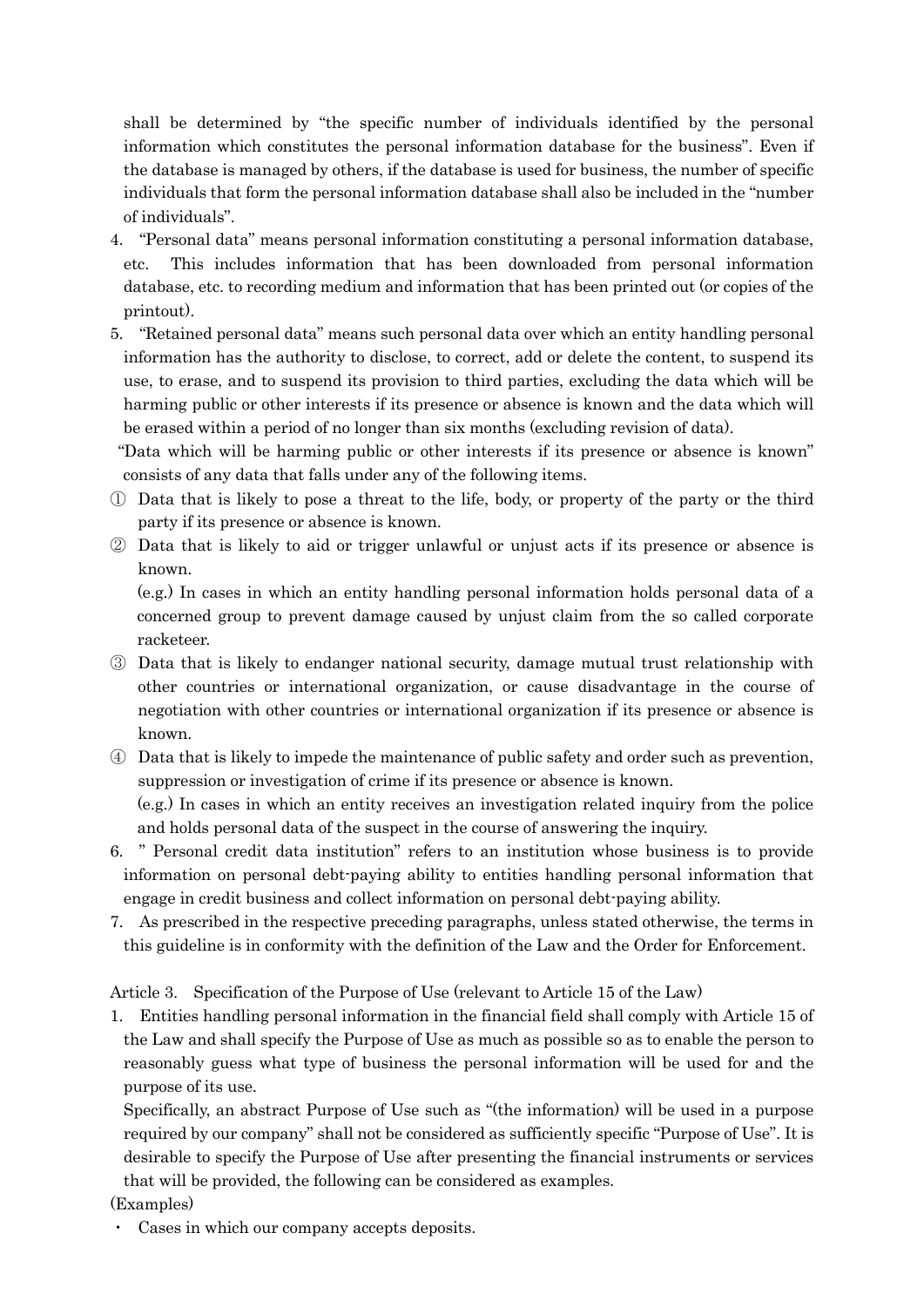shall be determined by "the specific number of individuals identified by the personal information which constitutes the personal information database for the business". Even if the database is managed by others, if the database is used for business, the number of specific individuals that form the personal information database shall also be included in the "number of individuals".

- 4. "Personal data" means personal information constituting a personal information database, etc. This includes information that has been downloaded from personal information database, etc. to recording medium and information that has been printed out (or copies of the printout).
- 5. "Retained personal data" means such personal data over which an entity handling personal information has the authority to disclose, to correct, add or delete the content, to suspend its use, to erase, and to suspend its provision to third parties, excluding the data which will be harming public or other interests if its presence or absence is known and the data which will be erased within a period of no longer than six months (excluding revision of data).

"Data which will be harming public or other interests if its presence or absence is known" consists of any data that falls under any of the following items.

- ① Data that is likely to pose a threat to the life, body, or property of the party or the third party if its presence or absence is known.
- ② Data that is likely to aid or trigger unlawful or unjust acts if its presence or absence is known.

(e.g.) In cases in which an entity handling personal information holds personal data of a concerned group to prevent damage caused by unjust claim from the so called corporate racketeer.

- ③ Data that is likely to endanger national security, damage mutual trust relationship with other countries or international organization, or cause disadvantage in the course of negotiation with other countries or international organization if its presence or absence is known.
- ④ Data that is likely to impede the maintenance of public safety and order such as prevention, suppression or investigation of crime if its presence or absence is known. (e.g.) In cases in which an entity receives an investigation related inquiry from the police

and holds personal data of the suspect in the course of answering the inquiry. 6. " Personal credit data institution" refers to an institution whose business is to provide information on personal debt-paying ability to entities handling personal information that

engage in credit business and collect information on personal debt-paying ability. 7. As prescribed in the respective preceding paragraphs, unless stated otherwise, the terms in this guideline is in conformity with the definition of the Law and the Order for Enforcement.

Article 3. Specification of the Purpose of Use (relevant to Article 15 of the Law)

1. Entities handling personal information in the financial field shall comply with Article 15 of the Law and shall specify the Purpose of Use as much as possible so as to enable the person to reasonably guess what type of business the personal information will be used for and the purpose of its use.

Specifically, an abstract Purpose of Use such as "(the information) will be used in a purpose required by our company" shall not be considered as sufficiently specific "Purpose of Use". It is desirable to specify the Purpose of Use after presenting the financial instruments or services that will be provided, the following can be considered as examples.

## (Examples)

・ Cases in which our company accepts deposits.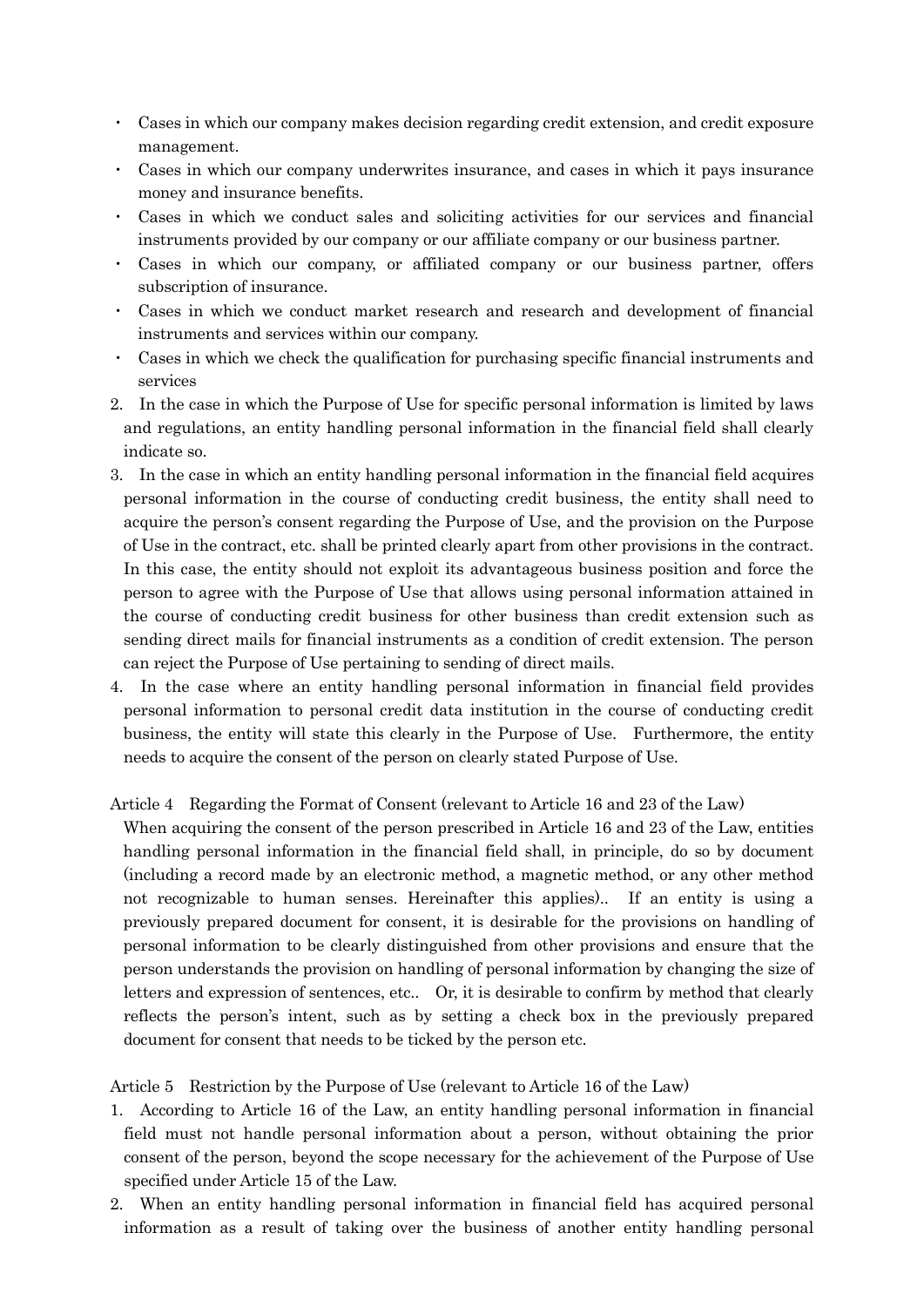- ・ Cases in which our company makes decision regarding credit extension, and credit exposure management.
- ・ Cases in which our company underwrites insurance, and cases in which it pays insurance money and insurance benefits.
- ・ Cases in which we conduct sales and soliciting activities for our services and financial instruments provided by our company or our affiliate company or our business partner.
- ・ Cases in which our company, or affiliated company or our business partner, offers subscription of insurance.
- ・ Cases in which we conduct market research and research and development of financial instruments and services within our company.
- ・ Cases in which we check the qualification for purchasing specific financial instruments and services
- 2. In the case in which the Purpose of Use for specific personal information is limited by laws and regulations, an entity handling personal information in the financial field shall clearly indicate so.
- 3. In the case in which an entity handling personal information in the financial field acquires personal information in the course of conducting credit business, the entity shall need to acquire the person's consent regarding the Purpose of Use, and the provision on the Purpose of Use in the contract, etc. shall be printed clearly apart from other provisions in the contract. In this case, the entity should not exploit its advantageous business position and force the person to agree with the Purpose of Use that allows using personal information attained in the course of conducting credit business for other business than credit extension such as sending direct mails for financial instruments as a condition of credit extension. The person can reject the Purpose of Use pertaining to sending of direct mails.
- 4. In the case where an entity handling personal information in financial field provides personal information to personal credit data institution in the course of conducting credit business, the entity will state this clearly in the Purpose of Use. Furthermore, the entity needs to acquire the consent of the person on clearly stated Purpose of Use.

### Article 4 Regarding the Format of Consent (relevant to Article 16 and 23 of the Law)

When acquiring the consent of the person prescribed in Article 16 and 23 of the Law, entities handling personal information in the financial field shall, in principle, do so by document (including a record made by an electronic method, a magnetic method, or any other method not recognizable to human senses. Hereinafter this applies).. If an entity is using a previously prepared document for consent, it is desirable for the provisions on handling of personal information to be clearly distinguished from other provisions and ensure that the person understands the provision on handling of personal information by changing the size of letters and expression of sentences, etc.. Or, it is desirable to confirm by method that clearly reflects the person's intent, such as by setting a check box in the previously prepared document for consent that needs to be ticked by the person etc.

Article 5 Restriction by the Purpose of Use (relevant to Article 16 of the Law)

- 1. According to Article 16 of the Law, an entity handling personal information in financial field must not handle personal information about a person, without obtaining the prior consent of the person, beyond the scope necessary for the achievement of the Purpose of Use specified under Article 15 of the Law.
- 2. When an entity handling personal information in financial field has acquired personal information as a result of taking over the business of another entity handling personal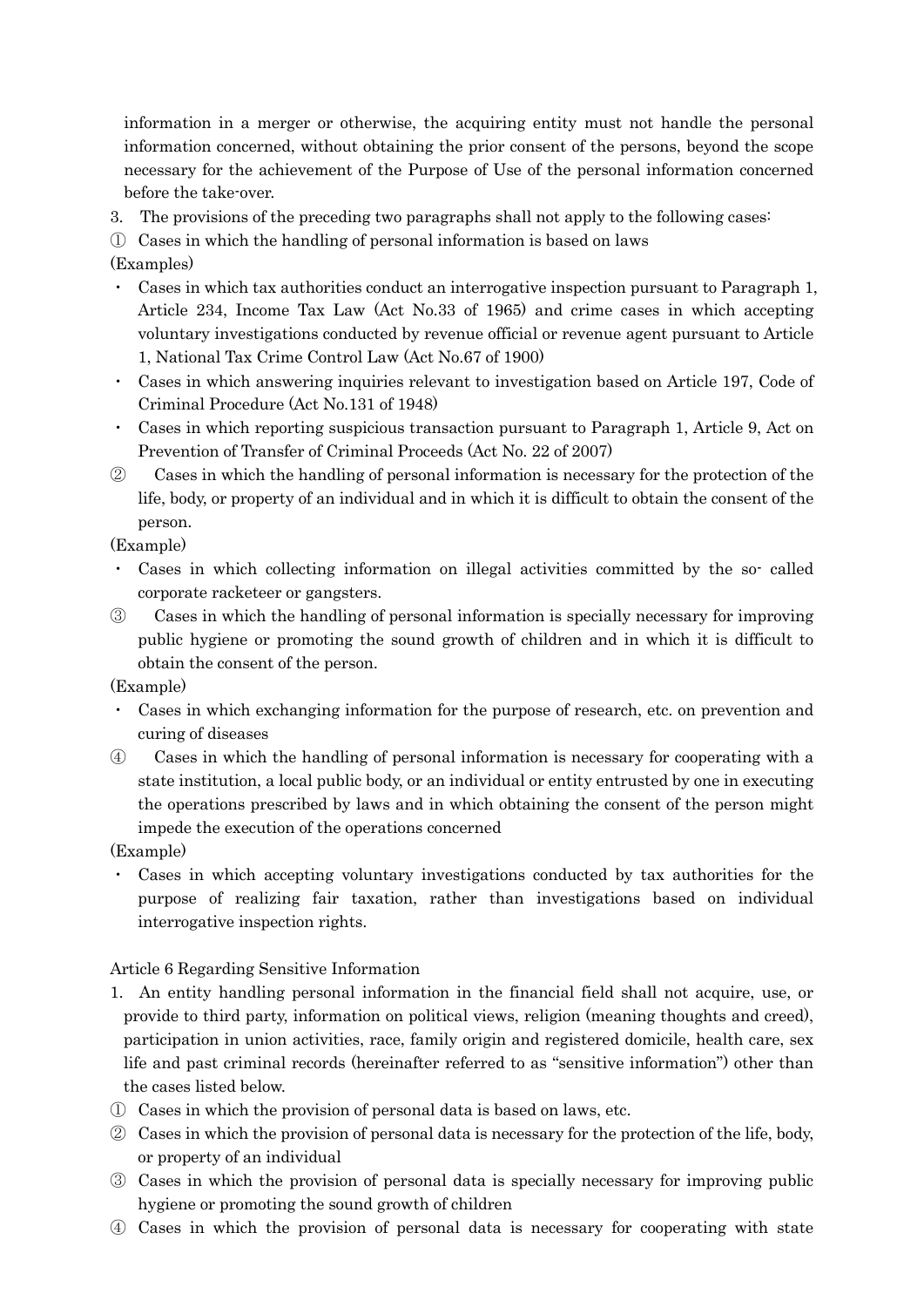information in a merger or otherwise, the acquiring entity must not handle the personal information concerned, without obtaining the prior consent of the persons, beyond the scope necessary for the achievement of the Purpose of Use of the personal information concerned before the take-over.

3. The provisions of the preceding two paragraphs shall not apply to the following cases:

① Cases in which the handling of personal information is based on laws

# (Examples)

- ・ Cases in which tax authorities conduct an interrogative inspection pursuant to Paragraph 1, Article 234, Income Tax Law (Act No.33 of 1965) and crime cases in which accepting voluntary investigations conducted by revenue official or revenue agent pursuant to Article 1, National Tax Crime Control Law (Act No.67 of 1900)
- ・ Cases in which answering inquiries relevant to investigation based on Article 197, Code of Criminal Procedure (Act No.131 of 1948)
- ・ Cases in which reporting suspicious transaction pursuant to Paragraph 1, Article 9, Act on Prevention of Transfer of Criminal Proceeds (Act No. 22 of 2007)
- ② Cases in which the handling of personal information is necessary for the protection of the life, body, or property of an individual and in which it is difficult to obtain the consent of the person.

### (Example)

- ・ Cases in which collecting information on illegal activities committed by the so- called corporate racketeer or gangsters.
- ③ Cases in which the handling of personal information is specially necessary for improving public hygiene or promoting the sound growth of children and in which it is difficult to obtain the consent of the person.

### (Example)

- ・ Cases in which exchanging information for the purpose of research, etc. on prevention and curing of diseases
- ④ Cases in which the handling of personal information is necessary for cooperating with a state institution, a local public body, or an individual or entity entrusted by one in executing the operations prescribed by laws and in which obtaining the consent of the person might impede the execution of the operations concerned

## (Example)

・ Cases in which accepting voluntary investigations conducted by tax authorities for the purpose of realizing fair taxation, rather than investigations based on individual interrogative inspection rights.

## Article 6 Regarding Sensitive Information

- 1. An entity handling personal information in the financial field shall not acquire, use, or provide to third party, information on political views, religion (meaning thoughts and creed), participation in union activities, race, family origin and registered domicile, health care, sex life and past criminal records (hereinafter referred to as "sensitive information") other than the cases listed below.
- ① Cases in which the provision of personal data is based on laws, etc.
- ② Cases in which the provision of personal data is necessary for the protection of the life, body, or property of an individual
- ③ Cases in which the provision of personal data is specially necessary for improving public hygiene or promoting the sound growth of children
- ④ Cases in which the provision of personal data is necessary for cooperating with state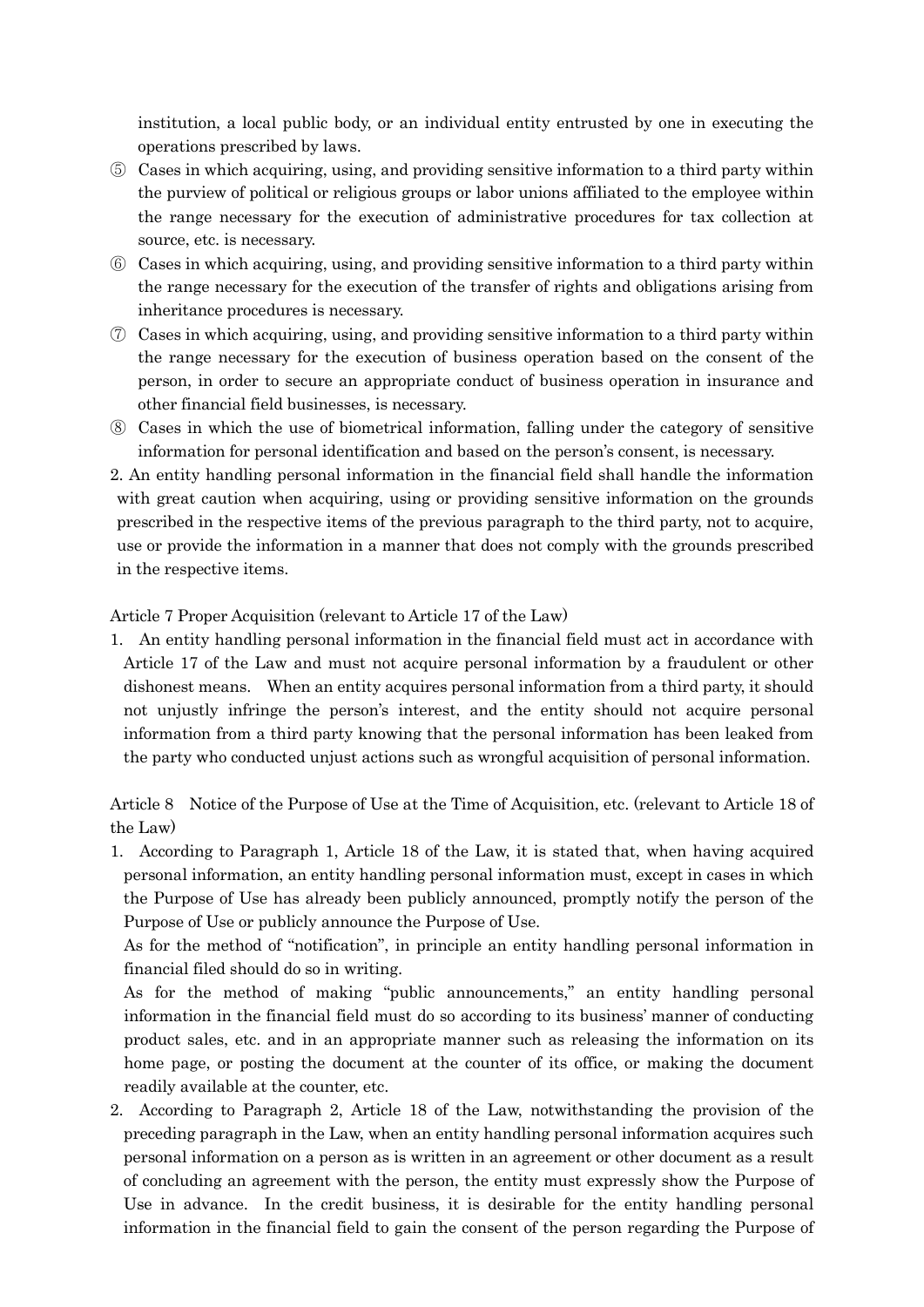institution, a local public body, or an individual entity entrusted by one in executing the operations prescribed by laws.

- ⑤ Cases in which acquiring, using, and providing sensitive information to a third party within the purview of political or religious groups or labor unions affiliated to the employee within the range necessary for the execution of administrative procedures for tax collection at source, etc. is necessary.
- ⑥ Cases in which acquiring, using, and providing sensitive information to a third party within the range necessary for the execution of the transfer of rights and obligations arising from inheritance procedures is necessary.
- $\sigma$  Cases in which acquiring, using, and providing sensitive information to a third party within the range necessary for the execution of business operation based on the consent of the person, in order to secure an appropriate conduct of business operation in insurance and other financial field businesses, is necessary.
- ⑧ Cases in which the use of biometrical information, falling under the category of sensitive information for personal identification and based on the person's consent, is necessary.
- 2. An entity handling personal information in the financial field shall handle the information with great caution when acquiring, using or providing sensitive information on the grounds prescribed in the respective items of the previous paragraph to the third party, not to acquire, use or provide the information in a manner that does not comply with the grounds prescribed in the respective items.

#### Article 7 Proper Acquisition (relevant to Article 17 of the Law)

1. An entity handling personal information in the financial field must act in accordance with Article 17 of the Law and must not acquire personal information by a fraudulent or other dishonest means. When an entity acquires personal information from a third party, it should not unjustly infringe the person's interest, and the entity should not acquire personal information from a third party knowing that the personal information has been leaked from the party who conducted unjust actions such as wrongful acquisition of personal information.

Article 8 Notice of the Purpose of Use at the Time of Acquisition, etc. (relevant to Article 18 of the Law)

1. According to Paragraph 1, Article 18 of the Law, it is stated that, when having acquired personal information, an entity handling personal information must, except in cases in which the Purpose of Use has already been publicly announced, promptly notify the person of the Purpose of Use or publicly announce the Purpose of Use.

As for the method of "notification", in principle an entity handling personal information in financial filed should do so in writing.

As for the method of making "public announcements," an entity handling personal information in the financial field must do so according to its business' manner of conducting product sales, etc. and in an appropriate manner such as releasing the information on its home page, or posting the document at the counter of its office, or making the document readily available at the counter, etc.

2. According to Paragraph 2, Article 18 of the Law, notwithstanding the provision of the preceding paragraph in the Law, when an entity handling personal information acquires such personal information on a person as is written in an agreement or other document as a result of concluding an agreement with the person, the entity must expressly show the Purpose of Use in advance. In the credit business, it is desirable for the entity handling personal information in the financial field to gain the consent of the person regarding the Purpose of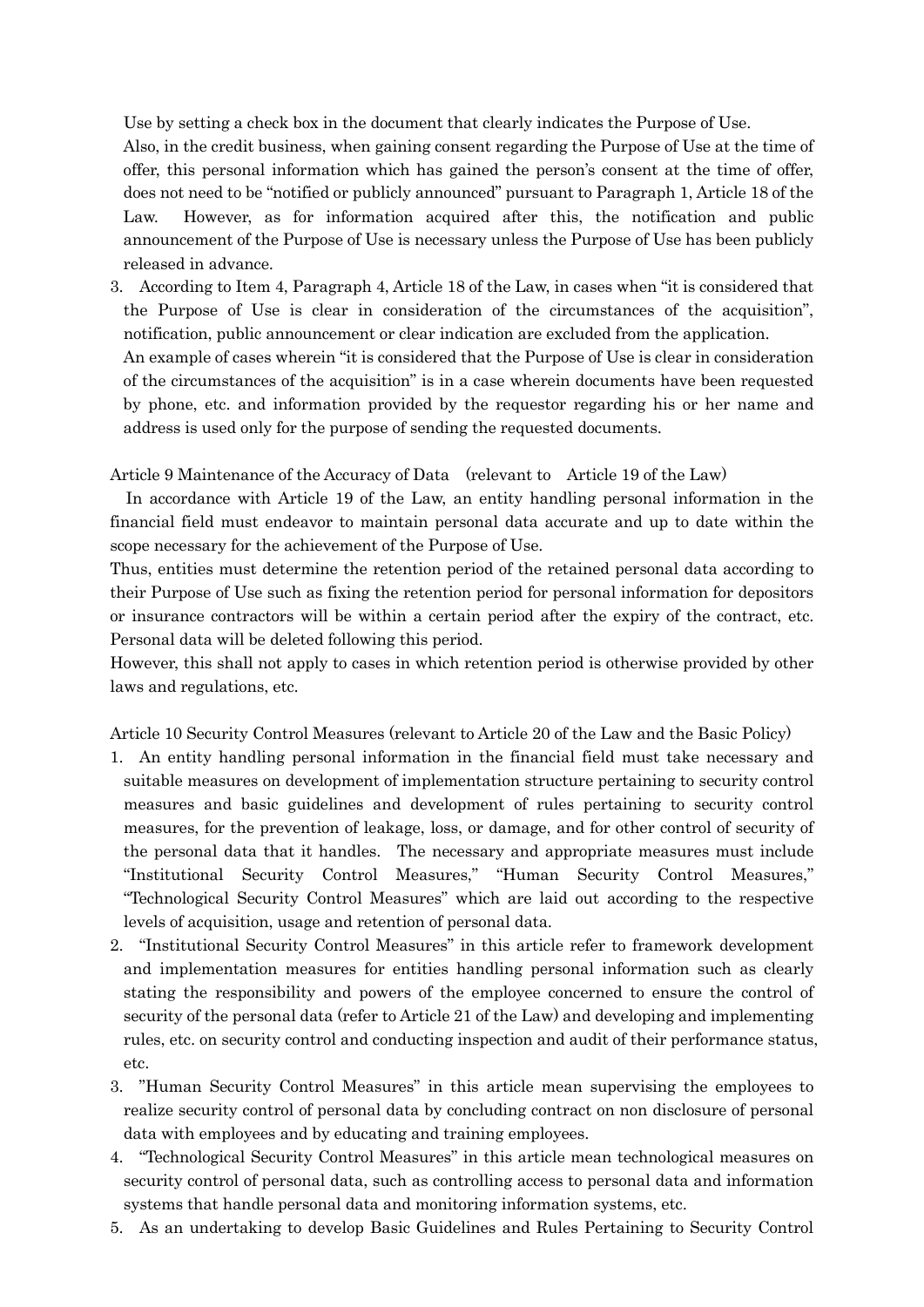Use by setting a check box in the document that clearly indicates the Purpose of Use.

Also, in the credit business, when gaining consent regarding the Purpose of Use at the time of offer, this personal information which has gained the person's consent at the time of offer, does not need to be "notified or publicly announced" pursuant to Paragraph 1, Article 18 of the Law. However, as for information acquired after this, the notification and public announcement of the Purpose of Use is necessary unless the Purpose of Use has been publicly released in advance.

3. According to Item 4, Paragraph 4, Article 18 of the Law, in cases when "it is considered that the Purpose of Use is clear in consideration of the circumstances of the acquisition", notification, public announcement or clear indication are excluded from the application.

An example of cases wherein "it is considered that the Purpose of Use is clear in consideration of the circumstances of the acquisition" is in a case wherein documents have been requested by phone, etc. and information provided by the requestor regarding his or her name and address is used only for the purpose of sending the requested documents.

Article 9 Maintenance of the Accuracy of Data (relevant to Article 19 of the Law)

In accordance with Article 19 of the Law, an entity handling personal information in the financial field must endeavor to maintain personal data accurate and up to date within the scope necessary for the achievement of the Purpose of Use.

Thus, entities must determine the retention period of the retained personal data according to their Purpose of Use such as fixing the retention period for personal information for depositors or insurance contractors will be within a certain period after the expiry of the contract, etc. Personal data will be deleted following this period.

However, this shall not apply to cases in which retention period is otherwise provided by other laws and regulations, etc.

Article 10 Security Control Measures (relevant to Article 20 of the Law and the Basic Policy)

- 1. An entity handling personal information in the financial field must take necessary and suitable measures on development of implementation structure pertaining to security control measures and basic guidelines and development of rules pertaining to security control measures, for the prevention of leakage, loss, or damage, and for other control of security of the personal data that it handles. The necessary and appropriate measures must include "Institutional Security Control Measures," "Human Security Control Measures," "Technological Security Control Measures" which are laid out according to the respective levels of acquisition, usage and retention of personal data.
- 2. "Institutional Security Control Measures" in this article refer to framework development and implementation measures for entities handling personal information such as clearly stating the responsibility and powers of the employee concerned to ensure the control of security of the personal data (refer to Article 21 of the Law) and developing and implementing rules, etc. on security control and conducting inspection and audit of their performance status, etc.
- 3. "Human Security Control Measures" in this article mean supervising the employees to realize security control of personal data by concluding contract on non disclosure of personal data with employees and by educating and training employees.
- 4. "Technological Security Control Measures" in this article mean technological measures on security control of personal data, such as controlling access to personal data and information systems that handle personal data and monitoring information systems, etc.
- 5. As an undertaking to develop Basic Guidelines and Rules Pertaining to Security Control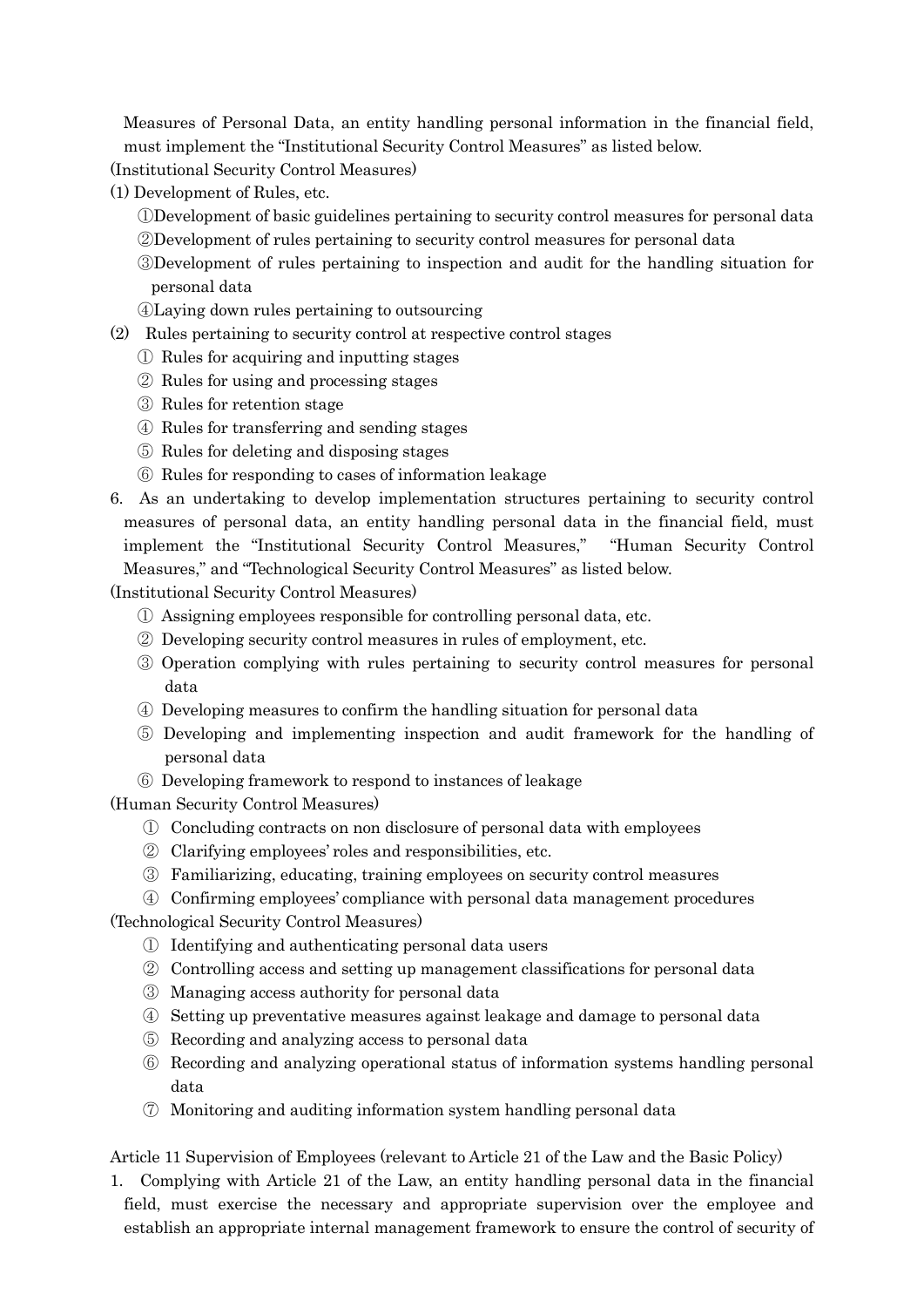Measures of Personal Data, an entity handling personal information in the financial field, must implement the "Institutional Security Control Measures" as listed below.

(Institutional Security Control Measures)

(1) Development of Rules, etc.

- ①Development of basic guidelines pertaining to security control measures for personal data
- ②Development of rules pertaining to security control measures for personal data
- ③Development of rules pertaining to inspection and audit for the handling situation for personal data
- ④Laying down rules pertaining to outsourcing
- (2) Rules pertaining to security control at respective control stages
	- ① Rules for acquiring and inputting stages
	- ② Rules for using and processing stages
	- ③ Rules for retention stage
	- ④ Rules for transferring and sending stages
	- ⑤ Rules for deleting and disposing stages
	- ⑥ Rules for responding to cases of information leakage
- 6. As an undertaking to develop implementation structures pertaining to security control measures of personal data, an entity handling personal data in the financial field, must implement the "Institutional Security Control Measures," "Human Security Control Measures," and "Technological Security Control Measures" as listed below.

(Institutional Security Control Measures)

- ① Assigning employees responsible for controlling personal data, etc.
- ② Developing security control measures in rules of employment, etc.
- ③ Operation complying with rules pertaining to security control measures for personal data
- ④ Developing measures to confirm the handling situation for personal data
- ⑤ Developing and implementing inspection and audit framework for the handling of personal data
- ⑥ Developing framework to respond to instances of leakage

(Human Security Control Measures)

- ① Concluding contracts on non disclosure of personal data with employees
- ② Clarifying employees' roles and responsibilities, etc.
- ③ Familiarizing, educating, training employees on security control measures
- ④ Confirming employees' compliance with personal data management procedures

(Technological Security Control Measures)

- ① Identifying and authenticating personal data users
- ② Controlling access and setting up management classifications for personal data
- ③ Managing access authority for personal data
- ④ Setting up preventative measures against leakage and damage to personal data
- ⑤ Recording and analyzing access to personal data
- ⑥ Recording and analyzing operational status of information systems handling personal data
- ⑦ Monitoring and auditing information system handling personal data

Article 11 Supervision of Employees (relevant to Article 21 of the Law and the Basic Policy)

1. Complying with Article 21 of the Law, an entity handling personal data in the financial field, must exercise the necessary and appropriate supervision over the employee and establish an appropriate internal management framework to ensure the control of security of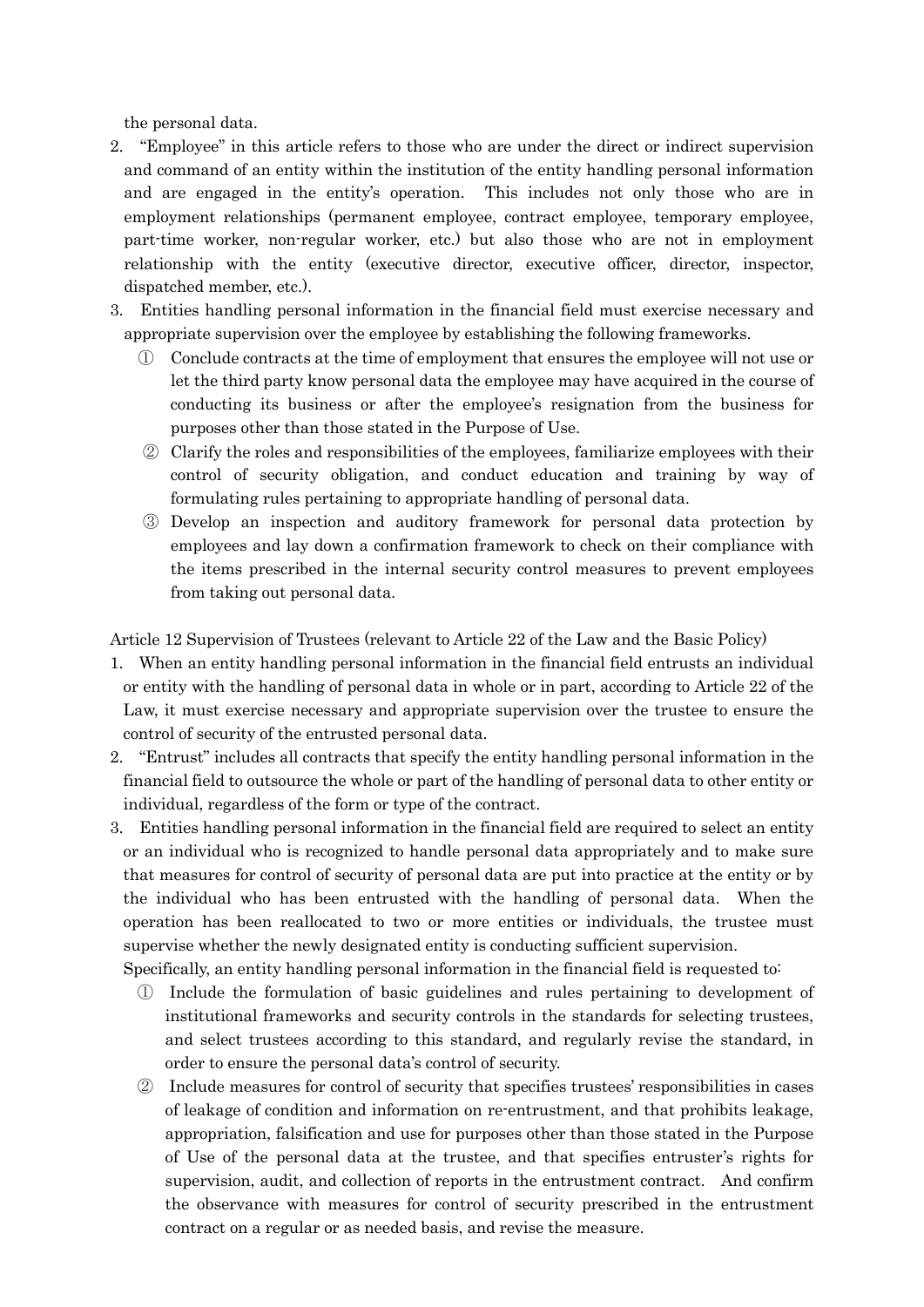the personal data.

- 2. "Employee" in this article refers to those who are under the direct or indirect supervision and command of an entity within the institution of the entity handling personal information and are engaged in the entity's operation. This includes not only those who are in employment relationships (permanent employee, contract employee, temporary employee, part-time worker, non-regular worker, etc.) but also those who are not in employment relationship with the entity (executive director, executive officer, director, inspector, dispatched member, etc.).
- 3. Entities handling personal information in the financial field must exercise necessary and appropriate supervision over the employee by establishing the following frameworks.
	- ① Conclude contracts at the time of employment that ensures the employee will not use or let the third party know personal data the employee may have acquired in the course of conducting its business or after the employee's resignation from the business for purposes other than those stated in the Purpose of Use.
	- ② Clarify the roles and responsibilities of the employees, familiarize employees with their control of security obligation, and conduct education and training by way of formulating rules pertaining to appropriate handling of personal data.
	- ③ Develop an inspection and auditory framework for personal data protection by employees and lay down a confirmation framework to check on their compliance with the items prescribed in the internal security control measures to prevent employees from taking out personal data.

Article 12 Supervision of Trustees (relevant to Article 22 of the Law and the Basic Policy)

- 1. When an entity handling personal information in the financial field entrusts an individual or entity with the handling of personal data in whole or in part, according to Article 22 of the Law, it must exercise necessary and appropriate supervision over the trustee to ensure the control of security of the entrusted personal data.
- 2. "Entrust" includes all contracts that specify the entity handling personal information in the financial field to outsource the whole or part of the handling of personal data to other entity or individual, regardless of the form or type of the contract.
- 3. Entities handling personal information in the financial field are required to select an entity or an individual who is recognized to handle personal data appropriately and to make sure that measures for control of security of personal data are put into practice at the entity or by the individual who has been entrusted with the handling of personal data. When the operation has been reallocated to two or more entities or individuals, the trustee must supervise whether the newly designated entity is conducting sufficient supervision.

Specifically, an entity handling personal information in the financial field is requested to:

- ① Include the formulation of basic guidelines and rules pertaining to development of institutional frameworks and security controls in the standards for selecting trustees, and select trustees according to this standard, and regularly revise the standard, in order to ensure the personal data's control of security.
- ② Include measures for control of security that specifies trustees' responsibilities in cases of leakage of condition and information on re-entrustment, and that prohibits leakage, appropriation, falsification and use for purposes other than those stated in the Purpose of Use of the personal data at the trustee, and that specifies entruster's rights for supervision, audit, and collection of reports in the entrustment contract. And confirm the observance with measures for control of security prescribed in the entrustment contract on a regular or as needed basis, and revise the measure.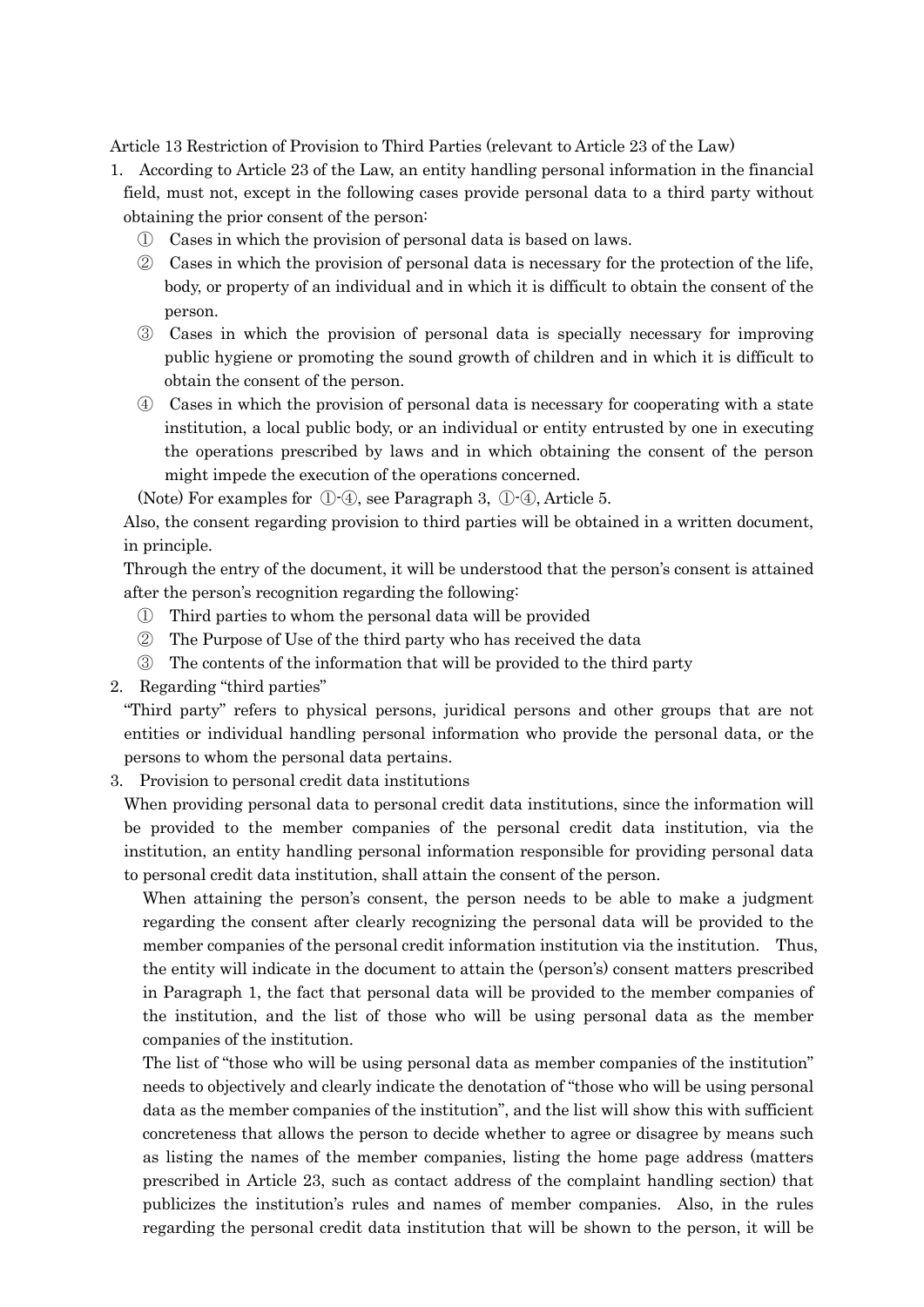Article 13 Restriction of Provision to Third Parties (relevant to Article 23 of the Law)

- 1. According to Article 23 of the Law, an entity handling personal information in the financial field, must not, except in the following cases provide personal data to a third party without obtaining the prior consent of the person:
	- ① Cases in which the provision of personal data is based on laws.
	- ② Cases in which the provision of personal data is necessary for the protection of the life, body, or property of an individual and in which it is difficult to obtain the consent of the person.
	- ③ Cases in which the provision of personal data is specially necessary for improving public hygiene or promoting the sound growth of children and in which it is difficult to obtain the consent of the person.
	- ④ Cases in which the provision of personal data is necessary for cooperating with a state institution, a local public body, or an individual or entity entrusted by one in executing the operations prescribed by laws and in which obtaining the consent of the person might impede the execution of the operations concerned.

(Note) For examples for ①-④, see Paragraph 3, ①-④, Article 5.

Also, the consent regarding provision to third parties will be obtained in a written document, in principle.

Through the entry of the document, it will be understood that the person's consent is attained after the person's recognition regarding the following:

- ① Third parties to whom the personal data will be provided
- ② The Purpose of Use of the third party who has received the data
- ③ The contents of the information that will be provided to the third party
- 2. Regarding "third parties"

"Third party" refers to physical persons, juridical persons and other groups that are not entities or individual handling personal information who provide the personal data, or the persons to whom the personal data pertains.

3. Provision to personal credit data institutions

When providing personal data to personal credit data institutions, since the information will be provided to the member companies of the personal credit data institution, via the institution, an entity handling personal information responsible for providing personal data to personal credit data institution, shall attain the consent of the person.

When attaining the person's consent, the person needs to be able to make a judgment regarding the consent after clearly recognizing the personal data will be provided to the member companies of the personal credit information institution via the institution. Thus, the entity will indicate in the document to attain the (person's) consent matters prescribed in Paragraph 1, the fact that personal data will be provided to the member companies of the institution, and the list of those who will be using personal data as the member companies of the institution.

The list of "those who will be using personal data as member companies of the institution" needs to objectively and clearly indicate the denotation of "those who will be using personal data as the member companies of the institution", and the list will show this with sufficient concreteness that allows the person to decide whether to agree or disagree by means such as listing the names of the member companies, listing the home page address (matters prescribed in Article 23, such as contact address of the complaint handling section) that publicizes the institution's rules and names of member companies. Also, in the rules regarding the personal credit data institution that will be shown to the person, it will be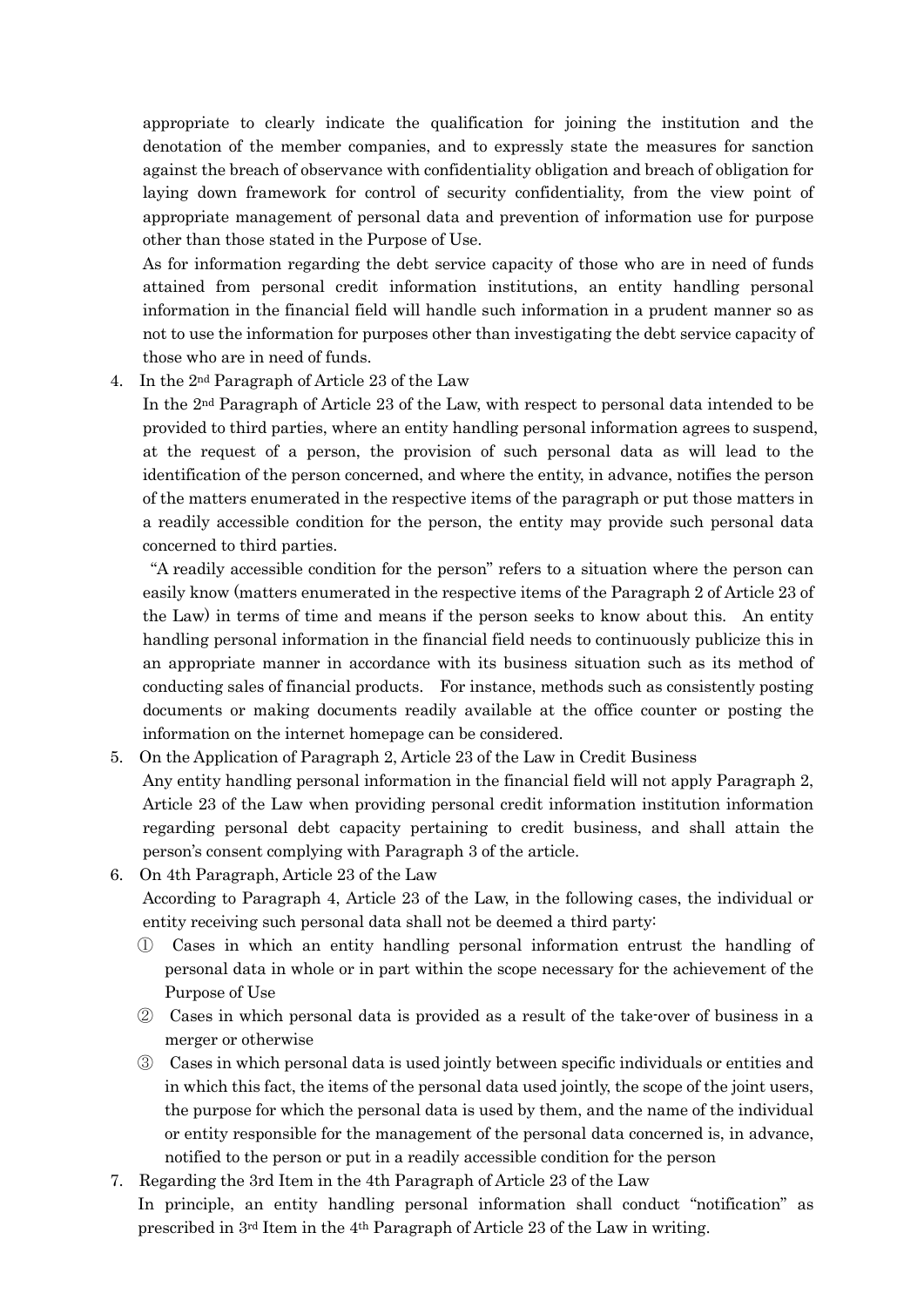appropriate to clearly indicate the qualification for joining the institution and the denotation of the member companies, and to expressly state the measures for sanction against the breach of observance with confidentiality obligation and breach of obligation for laying down framework for control of security confidentiality, from the view point of appropriate management of personal data and prevention of information use for purpose other than those stated in the Purpose of Use.

As for information regarding the debt service capacity of those who are in need of funds attained from personal credit information institutions, an entity handling personal information in the financial field will handle such information in a prudent manner so as not to use the information for purposes other than investigating the debt service capacity of those who are in need of funds.

4. In the 2nd Paragraph of Article 23 of the Law

In the 2nd Paragraph of Article 23 of the Law, with respect to personal data intended to be provided to third parties, where an entity handling personal information agrees to suspend, at the request of a person, the provision of such personal data as will lead to the identification of the person concerned, and where the entity, in advance, notifies the person of the matters enumerated in the respective items of the paragraph or put those matters in a readily accessible condition for the person, the entity may provide such personal data concerned to third parties.

 "A readily accessible condition for the person" refers to a situation where the person can easily know (matters enumerated in the respective items of the Paragraph 2 of Article 23 of the Law) in terms of time and means if the person seeks to know about this. An entity handling personal information in the financial field needs to continuously publicize this in an appropriate manner in accordance with its business situation such as its method of conducting sales of financial products. For instance, methods such as consistently posting documents or making documents readily available at the office counter or posting the information on the internet homepage can be considered.

- 5. On the Application of Paragraph 2, Article 23 of the Law in Credit Business Any entity handling personal information in the financial field will not apply Paragraph 2, Article 23 of the Law when providing personal credit information institution information regarding personal debt capacity pertaining to credit business, and shall attain the person's consent complying with Paragraph 3 of the article.
- 6. On 4th Paragraph, Article 23 of the Law According to Paragraph 4, Article 23 of the Law, in the following cases, the individual or entity receiving such personal data shall not be deemed a third party:
	- ① Cases in which an entity handling personal information entrust the handling of personal data in whole or in part within the scope necessary for the achievement of the Purpose of Use
	- ② Cases in which personal data is provided as a result of the take-over of business in a merger or otherwise
	- ③ Cases in which personal data is used jointly between specific individuals or entities and in which this fact, the items of the personal data used jointly, the scope of the joint users, the purpose for which the personal data is used by them, and the name of the individual or entity responsible for the management of the personal data concerned is, in advance, notified to the person or put in a readily accessible condition for the person
- 7. Regarding the 3rd Item in the 4th Paragraph of Article 23 of the Law In principle, an entity handling personal information shall conduct "notification" as prescribed in 3rd Item in the 4th Paragraph of Article 23 of the Law in writing.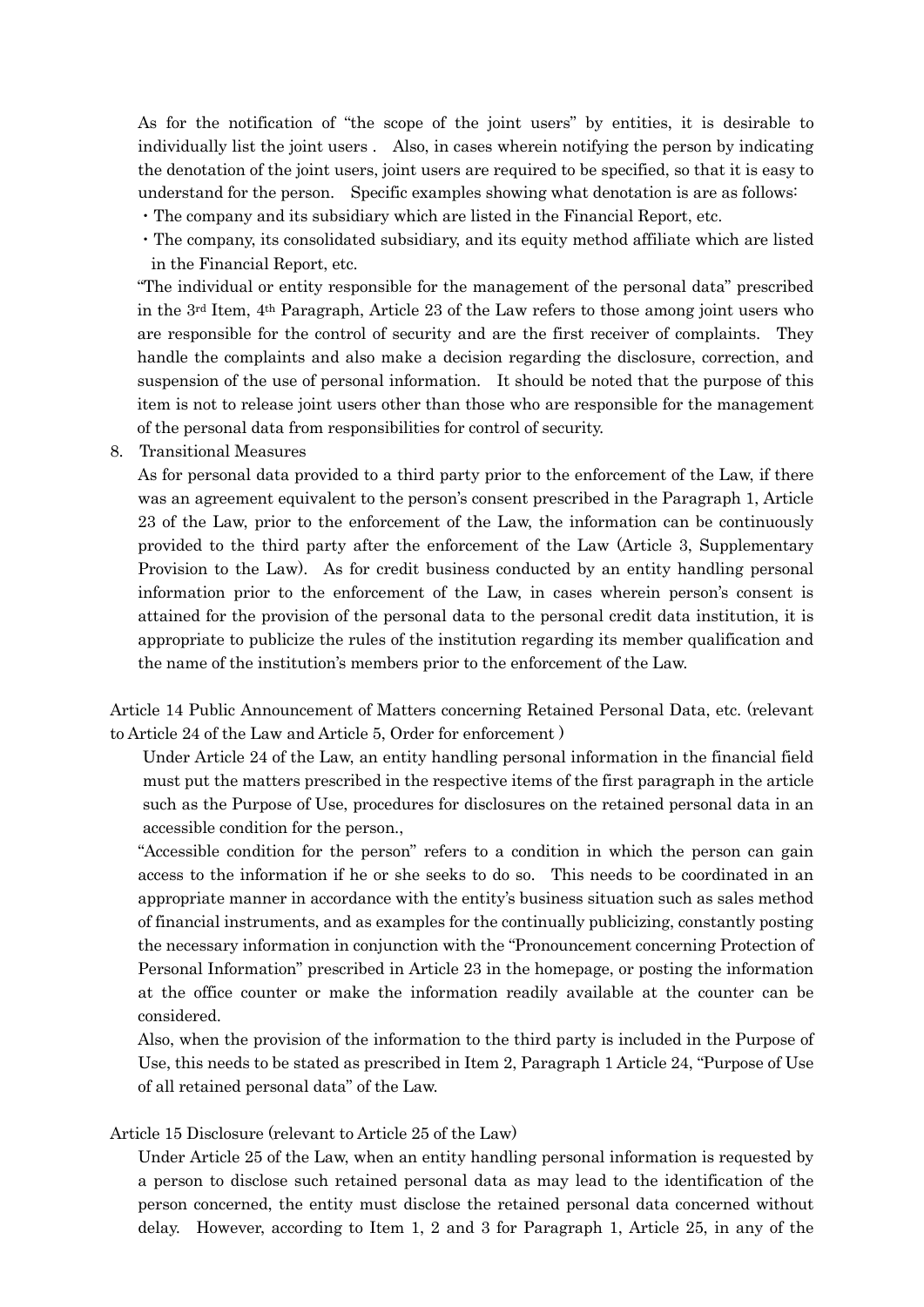As for the notification of "the scope of the joint users" by entities, it is desirable to individually list the joint users . Also, in cases wherein notifying the person by indicating the denotation of the joint users, joint users are required to be specified, so that it is easy to understand for the person. Specific examples showing what denotation is are as follows:

・The company and its subsidiary which are listed in the Financial Report, etc.

・The company, its consolidated subsidiary, and its equity method affiliate which are listed in the Financial Report, etc.

"The individual or entity responsible for the management of the personal data" prescribed in the 3rd Item, 4th Paragraph, Article 23 of the Law refers to those among joint users who are responsible for the control of security and are the first receiver of complaints. They handle the complaints and also make a decision regarding the disclosure, correction, and suspension of the use of personal information. It should be noted that the purpose of this item is not to release joint users other than those who are responsible for the management of the personal data from responsibilities for control of security.

8. Transitional Measures

As for personal data provided to a third party prior to the enforcement of the Law, if there was an agreement equivalent to the person's consent prescribed in the Paragraph 1, Article 23 of the Law, prior to the enforcement of the Law, the information can be continuously provided to the third party after the enforcement of the Law (Article 3, Supplementary Provision to the Law). As for credit business conducted by an entity handling personal information prior to the enforcement of the Law, in cases wherein person's consent is attained for the provision of the personal data to the personal credit data institution, it is appropriate to publicize the rules of the institution regarding its member qualification and the name of the institution's members prior to the enforcement of the Law.

Article 14 Public Announcement of Matters concerning Retained Personal Data, etc. (relevant to Article 24 of the Law and Article 5, Order for enforcement )

Under Article 24 of the Law, an entity handling personal information in the financial field must put the matters prescribed in the respective items of the first paragraph in the article such as the Purpose of Use, procedures for disclosures on the retained personal data in an accessible condition for the person.,

"Accessible condition for the person" refers to a condition in which the person can gain access to the information if he or she seeks to do so. This needs to be coordinated in an appropriate manner in accordance with the entity's business situation such as sales method of financial instruments, and as examples for the continually publicizing, constantly posting the necessary information in conjunction with the "Pronouncement concerning Protection of Personal Information" prescribed in Article 23 in the homepage, or posting the information at the office counter or make the information readily available at the counter can be considered.

Also, when the provision of the information to the third party is included in the Purpose of Use, this needs to be stated as prescribed in Item 2, Paragraph 1 Article 24, "Purpose of Use of all retained personal data" of the Law.

Article 15 Disclosure (relevant to Article 25 of the Law)

Under Article 25 of the Law, when an entity handling personal information is requested by a person to disclose such retained personal data as may lead to the identification of the person concerned, the entity must disclose the retained personal data concerned without delay. However, according to Item 1, 2 and 3 for Paragraph 1, Article 25, in any of the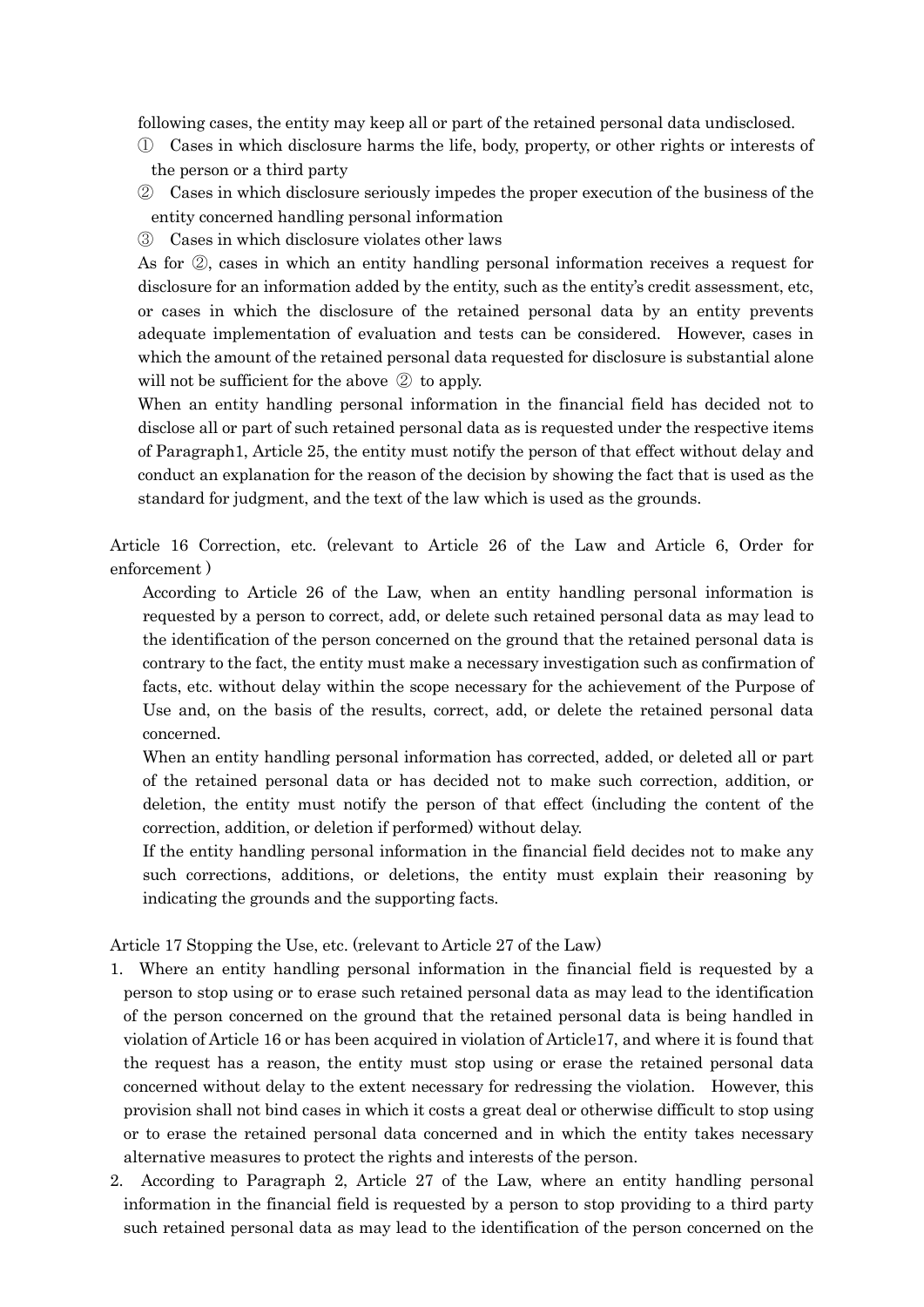following cases, the entity may keep all or part of the retained personal data undisclosed.

- ① Cases in which disclosure harms the life, body, property, or other rights or interests of the person or a third party
- ② Cases in which disclosure seriously impedes the proper execution of the business of the entity concerned handling personal information
- ③ Cases in which disclosure violates other laws

As for ②, cases in which an entity handling personal information receives a request for disclosure for an information added by the entity, such as the entity's credit assessment, etc, or cases in which the disclosure of the retained personal data by an entity prevents adequate implementation of evaluation and tests can be considered. However, cases in which the amount of the retained personal data requested for disclosure is substantial alone will not be sufficient for the above ② to apply.

When an entity handling personal information in the financial field has decided not to disclose all or part of such retained personal data as is requested under the respective items of Paragraph1, Article 25, the entity must notify the person of that effect without delay and conduct an explanation for the reason of the decision by showing the fact that is used as the standard for judgment, and the text of the law which is used as the grounds.

Article 16 Correction, etc. (relevant to Article 26 of the Law and Article 6, Order for enforcement )

According to Article 26 of the Law, when an entity handling personal information is requested by a person to correct, add, or delete such retained personal data as may lead to the identification of the person concerned on the ground that the retained personal data is contrary to the fact, the entity must make a necessary investigation such as confirmation of facts, etc. without delay within the scope necessary for the achievement of the Purpose of Use and, on the basis of the results, correct, add, or delete the retained personal data concerned.

When an entity handling personal information has corrected, added, or deleted all or part of the retained personal data or has decided not to make such correction, addition, or deletion, the entity must notify the person of that effect (including the content of the correction, addition, or deletion if performed) without delay.

If the entity handling personal information in the financial field decides not to make any such corrections, additions, or deletions, the entity must explain their reasoning by indicating the grounds and the supporting facts.

Article 17 Stopping the Use, etc. (relevant to Article 27 of the Law)

- 1. Where an entity handling personal information in the financial field is requested by a person to stop using or to erase such retained personal data as may lead to the identification of the person concerned on the ground that the retained personal data is being handled in violation of Article 16 or has been acquired in violation of Article17, and where it is found that the request has a reason, the entity must stop using or erase the retained personal data concerned without delay to the extent necessary for redressing the violation. However, this provision shall not bind cases in which it costs a great deal or otherwise difficult to stop using or to erase the retained personal data concerned and in which the entity takes necessary alternative measures to protect the rights and interests of the person.
- 2. According to Paragraph 2, Article 27 of the Law, where an entity handling personal information in the financial field is requested by a person to stop providing to a third party such retained personal data as may lead to the identification of the person concerned on the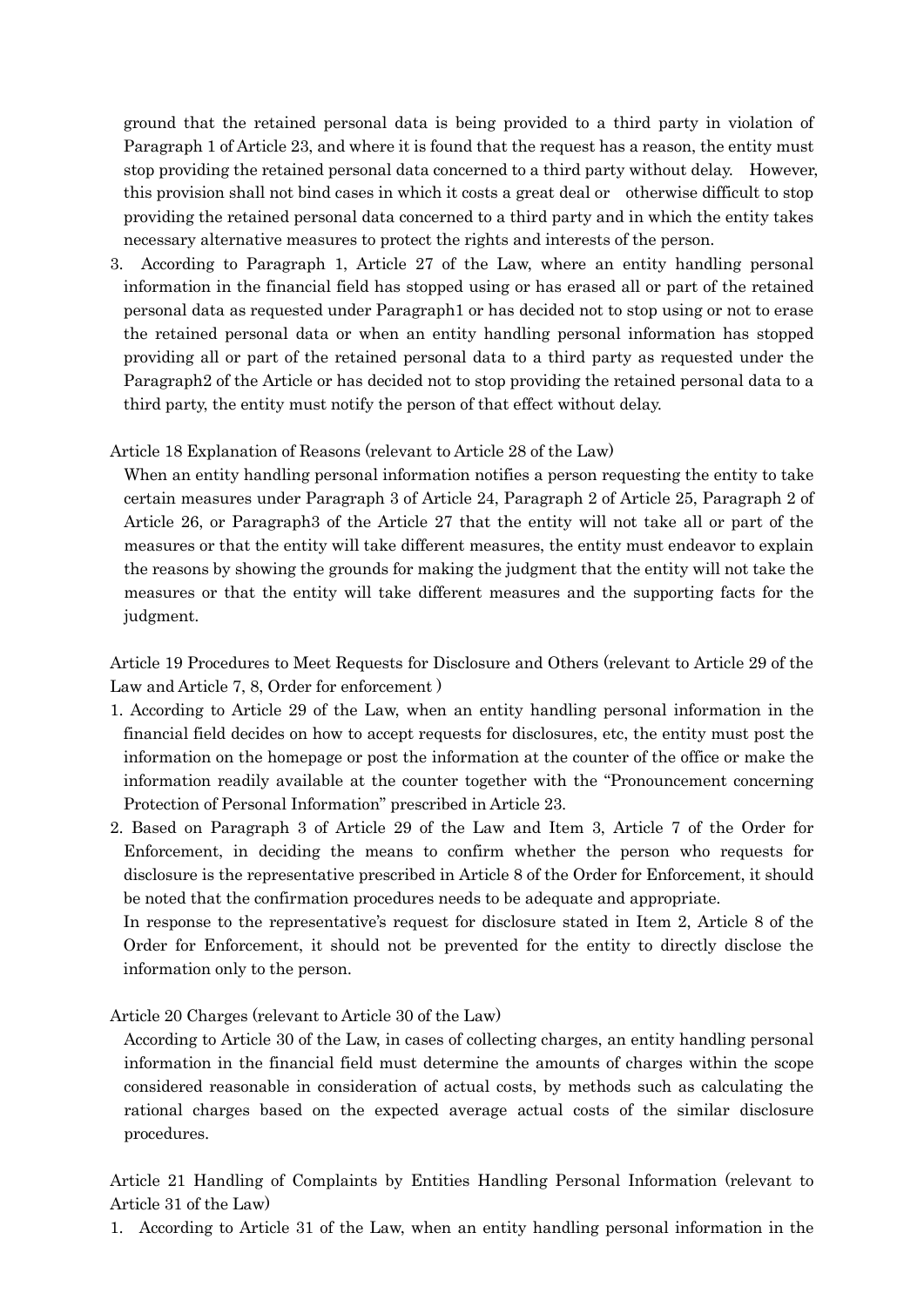ground that the retained personal data is being provided to a third party in violation of Paragraph 1 of Article 23, and where it is found that the request has a reason, the entity must stop providing the retained personal data concerned to a third party without delay. However, this provision shall not bind cases in which it costs a great deal or otherwise difficult to stop providing the retained personal data concerned to a third party and in which the entity takes necessary alternative measures to protect the rights and interests of the person.

3. According to Paragraph 1, Article 27 of the Law, where an entity handling personal information in the financial field has stopped using or has erased all or part of the retained personal data as requested under Paragraph1 or has decided not to stop using or not to erase the retained personal data or when an entity handling personal information has stopped providing all or part of the retained personal data to a third party as requested under the Paragraph2 of the Article or has decided not to stop providing the retained personal data to a third party, the entity must notify the person of that effect without delay.

#### Article 18 Explanation of Reasons (relevant to Article 28 of the Law)

When an entity handling personal information notifies a person requesting the entity to take certain measures under Paragraph 3 of Article 24, Paragraph 2 of Article 25, Paragraph 2 of Article 26, or Paragraph3 of the Article 27 that the entity will not take all or part of the measures or that the entity will take different measures, the entity must endeavor to explain the reasons by showing the grounds for making the judgment that the entity will not take the measures or that the entity will take different measures and the supporting facts for the judgment.

Article 19 Procedures to Meet Requests for Disclosure and Others (relevant to Article 29 of the Law and Article 7, 8, Order for enforcement )

- 1. According to Article 29 of the Law, when an entity handling personal information in the financial field decides on how to accept requests for disclosures, etc, the entity must post the information on the homepage or post the information at the counter of the office or make the information readily available at the counter together with the "Pronouncement concerning Protection of Personal Information" prescribed in Article 23.
- 2. Based on Paragraph 3 of Article 29 of the Law and Item 3, Article 7 of the Order for Enforcement, in deciding the means to confirm whether the person who requests for disclosure is the representative prescribed in Article 8 of the Order for Enforcement, it should be noted that the confirmation procedures needs to be adequate and appropriate.

In response to the representative's request for disclosure stated in Item 2, Article 8 of the Order for Enforcement, it should not be prevented for the entity to directly disclose the information only to the person.

Article 20 Charges (relevant to Article 30 of the Law)

According to Article 30 of the Law, in cases of collecting charges, an entity handling personal information in the financial field must determine the amounts of charges within the scope considered reasonable in consideration of actual costs, by methods such as calculating the rational charges based on the expected average actual costs of the similar disclosure procedures.

Article 21 Handling of Complaints by Entities Handling Personal Information (relevant to Article 31 of the Law)

1. According to Article 31 of the Law, when an entity handling personal information in the